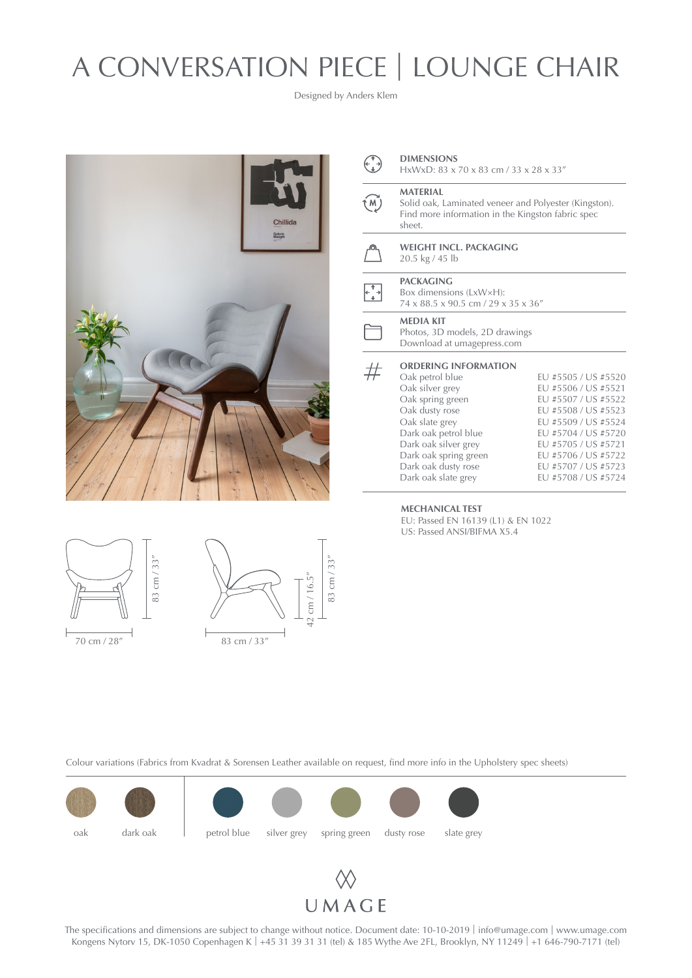# A CONVERSATION PIECE | LOUNGE CHAIR

Designed by Anders Klem







|            | <b>DIMENSIONS</b> |
|------------|-------------------|
| $\bigodot$ | HxWxD: 83 x       |

HxWxD: 83 x 70 x 83 cm / 33 x 28 x 33"

## **MATERIAL**

(M) Solid oak, Laminated veneer and Polyester (Kingston). Find more information in the Kingston fabric spec sheet.

**WEIGHT INCL. PACKAGING** 20.5 kg / 45 lb

## **PACKAGING**

Box dimensions (LxW×H): 74 x 88.5 x 90.5 cm / 29 x 35 x 36"

### **MEDIA KIT**

Photos, 3D models, 2D drawings Download at [umagepress.com](http://umagepress.com)

#### **ORDERING INFORMATION**  $#$

| Oak petrol blue       | EU #5505 / US #5520 |
|-----------------------|---------------------|
| Oak silver grey       | EU #5506 / US #5521 |
| Oak spring green      | EU #5507 / US #5522 |
| Oak dusty rose        | EU #5508 / US #5523 |
| Oak slate grey        | EU #5509 / US #5524 |
| Dark oak petrol blue  | EU #5704 / US #5720 |
| Dark oak silver grey  | EU #5705 / US #5721 |
| Dark oak spring green | EU #5706 / US #5722 |
| Dark oak dusty rose   | EU #5707 / US #5723 |
| Dark oak slate grey   | EU #5708 / US #5724 |
|                       |                     |

#### **MECHANICAL TEST**

EU: Passed EN 16139 (L1) & EN 1022 US: Passed ANSI/BIFMA X5.4





The specifications and dimensions are subject to change without notice. Document date: 10-10-2019 | info[@umage.com](mailto:info%40umage.com?subject=) | www[.umage.com](https://www.umage.com/) Kongens Nytorv 15, DK-1050 Copenhagen K | +45 31 39 31 31 (tel) & 185 Wythe Ave 2FL, Brooklyn, NY 11249 | +1 646-790-7171 (tel)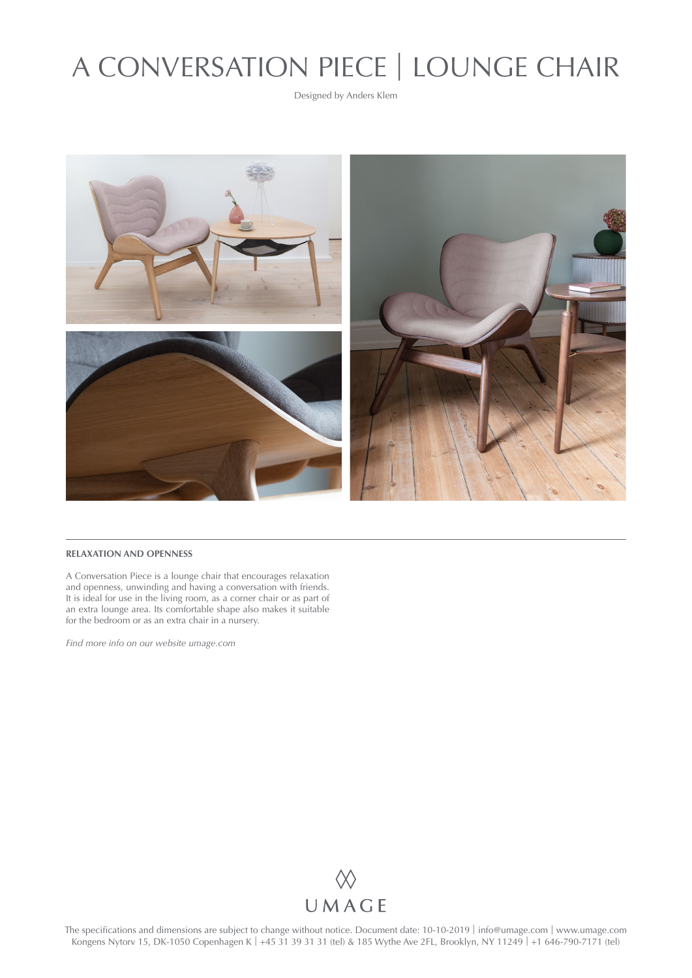# A CONVERSATION PIECE | LOUNGE CHAIR

Designed by Anders Klem



### **RELAXATION AND OPENNESS**

A Conversation Piece is a lounge chair that encourages relaxation and openness, unwinding and having a conversation with friends. It is ideal for use in the living room, as a corner chair or as part of an extra lounge area. Its comfortable shape also makes it suitable for the bedroom or as an extra chair in a nursery.

*Find more info on our website [umage.com](http://umage.com)*



The specifications and dimensions are subject to change without notice. Document date: 10-10-2019 | info[@umage.com](mailto:info%40umage.com?subject=) | www[.umage.com](https://www.umage.com/) Kongens Nytorv 15, DK-1050 Copenhagen K | +45 31 39 31 31 (tel) & 185 Wythe Ave 2FL, Brooklyn, NY 11249 | +1 646-790-7171 (tel)